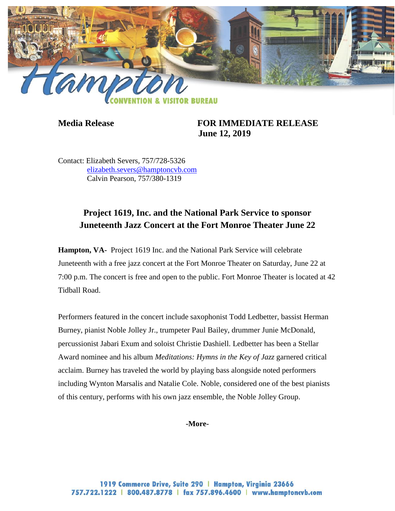

**Media Release FOR IMMEDIATE RELEASE June 12, 2019**

Contact: Elizabeth Severs, 757/728-5326 [elizabeth.severs@hamptoncvb.com](mailto:elizabeth.severs@hamptoncvb.com) Calvin Pearson, 757/380-1319

## **Project 1619, Inc. and the National Park Service to sponsor Juneteenth Jazz Concert at the Fort Monroe Theater June 22**

**Hampton, VA-** Project 1619 Inc. and the National Park Service will celebrate Juneteenth with a free jazz concert at the Fort Monroe Theater on Saturday, June 22 at 7:00 p.m. The concert is free and open to the public. Fort Monroe Theater is located at 42 Tidball Road.

Performers featured in the concert include saxophonist Todd Ledbetter, bassist Herman Burney, pianist Noble Jolley Jr., trumpeter Paul Bailey, drummer Junie McDonald, percussionist Jabari Exum and soloist Christie Dashiell. Ledbetter has been a Stellar Award nominee and his album *Meditations: Hymns in the Key of Jazz* garnered critical acclaim. Burney has traveled the world by playing bass alongside noted performers including Wynton Marsalis and Natalie Cole. Noble, considered one of the best pianists of this century, performs with his own jazz ensemble, the Noble Jolley Group.

**-More-**